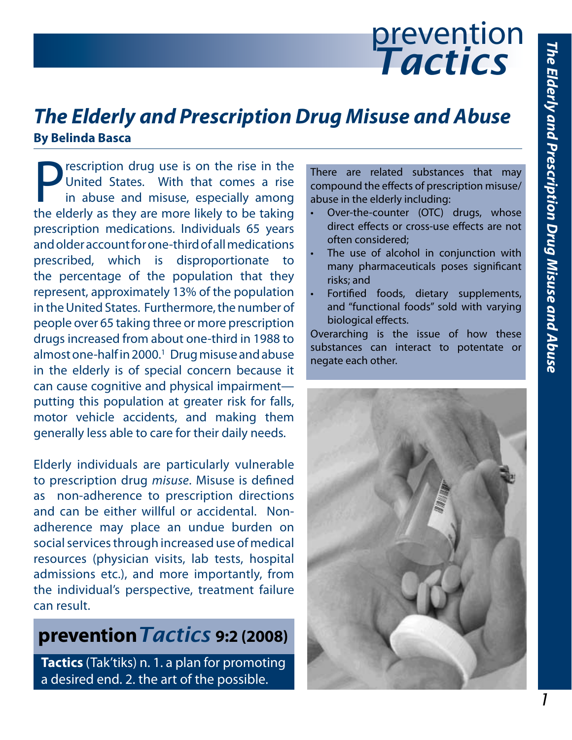# prevention *Tactics*

# *The Elderly and Prescription Drug Misuse and Abuse* **By Belinda Basca**

rescription drug use is on the rise in the United States. With that comes a rise in abuse and misuse, especially among the elderly as they are more likely to be taking prescription medications. Individuals 65 years and older account for one-third of all medications prescribed, which is disproportionate to the percentage of the population that they represent, approximately 13% of the population in the United States. Furthermore, the number of people over 65 taking three or more prescription drugs increased from about one-third in 1988 to almost one-half in 2000.1 Drug misuse and abuse in the elderly is of special concern because it can cause cognitive and physical impairment putting this population at greater risk for falls, motor vehicle accidents, and making them generally less able to care for their daily needs.

Elderly individuals are particularly vulnerable to prescription drug *misuse*. Misuse is defined as non-adherence to prescription directions and can be either willful or accidental. Nonadherence may place an undue burden on social services through increased use of medical resources (physician visits, lab tests, hospital admissions etc.), and more importantly, from the individual's perspective, treatment failure can result.

# **prevention***Tactics* **9:2 (2008)**

**Tactics** (Tak'tiks) n. 1. a plan for promoting a desired end. 2. the art of the possible.

There are related substances that may compound the effects of prescription misuse/ abuse in the elderly including:

- Over-the-counter (OTC) drugs, whose direct effects or cross-use effects are not often considered;
- The use of alcohol in conjunction with many pharmaceuticals poses significant risks; and
- Fortified foods, dietary supplements, and "functional foods" sold with varying biological effects.

Overarching is the issue of how these substances can interact to potentate or negate each other.

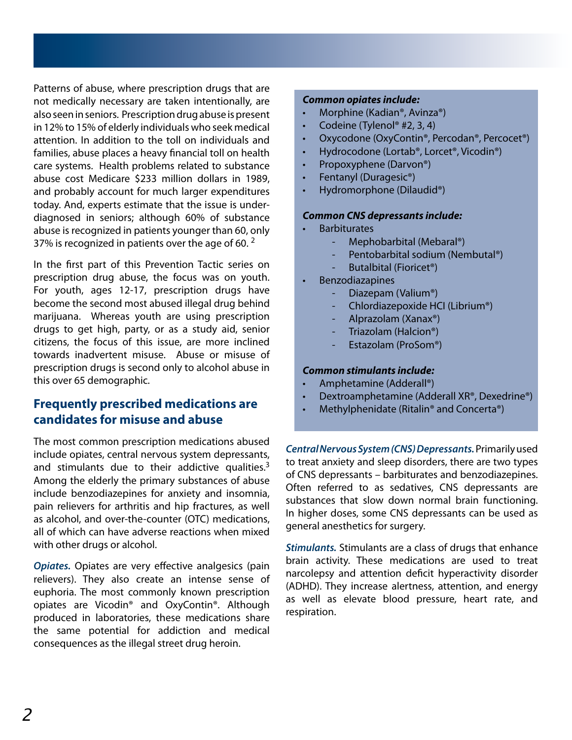Patterns of abuse, where prescription drugs that are not medically necessary are taken intentionally, are also seen in seniors. Prescription drug abuse is present in 12% to 15% of elderly individuals who seek medical attention. In addition to the toll on individuals and families, abuse places a heavy financial toll on health care systems. Health problems related to substance abuse cost Medicare \$233 million dollars in 1989, and probably account for much larger expenditures today. And, experts estimate that the issue is underdiagnosed in seniors; although 60% of substance abuse is recognized in patients younger than 60, only 37% is recognized in patients over the age of 60. $<sup>2</sup>$ </sup>

In the first part of this Prevention Tactic series on prescription drug abuse, the focus was on youth. For youth, ages 12-17, prescription drugs have become the second most abused illegal drug behind marijuana. Whereas youth are using prescription drugs to get high, party, or as a study aid, senior citizens, the focus of this issue, are more inclined towards inadvertent misuse. Abuse or misuse of prescription drugs is second only to alcohol abuse in this over 65 demographic.

# **Frequently prescribed medications are candidates for misuse and abuse**

The most common prescription medications abused include opiates, central nervous system depressants, and stimulants due to their addictive qualities. $3$ Among the elderly the primary substances of abuse include benzodiazepines for anxiety and insomnia, pain relievers for arthritis and hip fractures, as well as alcohol, and over-the-counter (OTC) medications, all of which can have adverse reactions when mixed with other drugs or alcohol.

*Opiates.* Opiates are very effective analgesics (pain relievers). They also create an intense sense of euphoria. The most commonly known prescription opiates are Vicodin® and OxyContin®. Although produced in laboratories, these medications share the same potential for addiction and medical consequences as the illegal street drug heroin.

#### *Common opiates include:*

- Morphine (Kadian®, Avinza®)
- Codeine (Tylenol® #2, 3, 4)
- Oxycodone (OxyContin®, Percodan®, Percocet®)
- Hydrocodone (Lortab®, Lorcet®, Vicodin®)
- Propoxyphene (Darvon®)
- Fentanyl (Duragesic®)
- Hydromorphone (Dilaudid®)

#### *Common CNS depressants include:*

- **Barbiturates** 
	- Mephobarbital (Mebaral®)
		- Pentobarbital sodium (Nembutal®)
		- Butalbital (Fioricet<sup>®</sup>)
- **Benzodiazapines** 
	- Diazepam (Valium®)
	- Chlordiazepoxide HCI (Librium®)
	- Alprazolam (Xanax®)
	- Triazolam (Halcion®)
	- Estazolam (ProSom®)

#### *Common stimulants include:*

- Amphetamine (Adderall®)
- Dextroamphetamine (Adderall XR®, Dexedrine®)
- Methylphenidate (Ritalin® and Concerta®)

*Central Nervous System (CNS) Depressants.* Primarily used to treat anxiety and sleep disorders, there are two types of CNS depressants – barbiturates and benzodiazepines. Often referred to as sedatives, CNS depressants are substances that slow down normal brain functioning. In higher doses, some CNS depressants can be used as general anesthetics for surgery.

*Stimulants.* Stimulants are a class of drugs that enhance brain activity. These medications are used to treat narcolepsy and attention deficit hyperactivity disorder (ADHD). They increase alertness, attention, and energy as well as elevate blood pressure, heart rate, and respiration.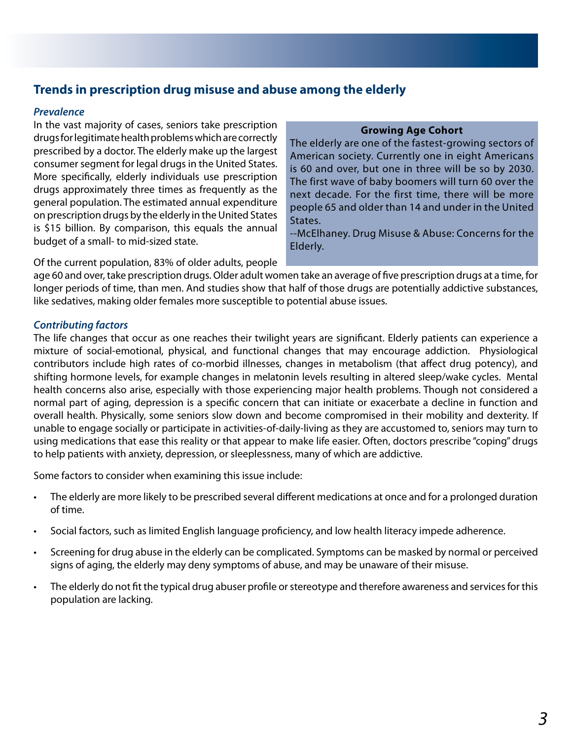# **Trends in prescription drug misuse and abuse among the elderly**

# *Prevalence*

In the vast majority of cases, seniors take prescription drugs for legitimate health problems which are correctly prescribed by a doctor. The elderly make up the largest consumer segment for legal drugs in the United States. More specifically, elderly individuals use prescription drugs approximately three times as frequently as the general population. The estimated annual expenditure on prescription drugs by the elderly in the United States is \$15 billion. By comparison, this equals the annual budget of a small- to mid-sized state.

### **Growing Age Cohort**

The elderly are one of the fastest-growing sectors of American society. Currently one in eight Americans is 60 and over, but one in three will be so by 2030. The first wave of baby boomers will turn 60 over the next decade. For the first time, there will be more people 65 and older than 14 and under in the United States.

--McElhaney. Drug Misuse & Abuse: Concerns for the Elderly.

Of the current population, 83% of older adults, people

age 60 and over, take prescription drugs. Older adult women take an average of five prescription drugs at a time, for longer periods of time, than men. And studies show that half of those drugs are potentially addictive substances, like sedatives, making older females more susceptible to potential abuse issues.

# *Contributing factors*

The life changes that occur as one reaches their twilight years are significant. Elderly patients can experience a mixture of social-emotional, physical, and functional changes that may encourage addiction. Physiological contributors include high rates of co-morbid illnesses, changes in metabolism (that affect drug potency), and shifting hormone levels, for example changes in melatonin levels resulting in altered sleep/wake cycles. Mental health concerns also arise, especially with those experiencing major health problems. Though not considered a normal part of aging, depression is a specific concern that can initiate or exacerbate a decline in function and overall health. Physically, some seniors slow down and become compromised in their mobility and dexterity. If unable to engage socially or participate in activities-of-daily-living as they are accustomed to, seniors may turn to using medications that ease this reality or that appear to make life easier. Often, doctors prescribe "coping" drugs to help patients with anxiety, depression, or sleeplessness, many of which are addictive.

Some factors to consider when examining this issue include:

- • The elderly are more likely to be prescribed several different medications at once and for a prolonged duration of time.
- Social factors, such as limited English language proficiency, and low health literacy impede adherence.
- Screening for drug abuse in the elderly can be complicated. Symptoms can be masked by normal or perceived signs of aging, the elderly may deny symptoms of abuse, and may be unaware of their misuse.
- The elderly do not fit the typical drug abuser profile or stereotype and therefore awareness and services for this population are lacking.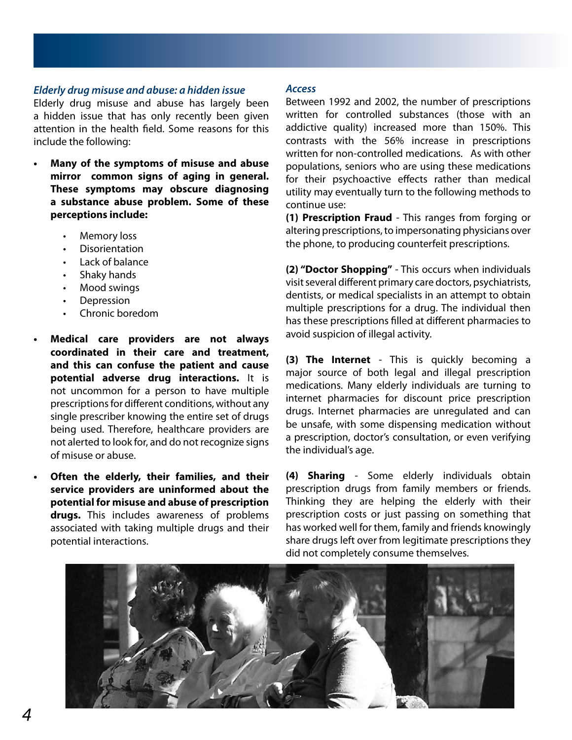### *Elderly drug misuse and abuse: a hidden issue*

Elderly drug misuse and abuse has largely been a hidden issue that has only recently been given attention in the health field. Some reasons for this include the following:

- **• Many of the symptoms of misuse and abuse mirror common signs of aging in general. These symptoms may obscure diagnosing a substance abuse problem. Some of these perceptions include:**
	- **Memory loss**
	- **Disorientation**
	- Lack of balance
	- Shaky hands
	- Mood swings
	- **Depression**
	- Chronic boredom
	- **• Medical care providers are not always coordinated in their care and treatment, and this can confuse the patient and cause potential adverse drug interactions.** It is not uncommon for a person to have multiple prescriptions for different conditions, without any single prescriber knowing the entire set of drugs being used. Therefore, healthcare providers are not alerted to look for, and do not recognize signs of misuse or abuse.
		- **Often the elderly, their families, and their service providers are uninformed about the potential for misuse and abuse of prescription drugs.** This includes awareness of problems associated with taking multiple drugs and their potential interactions.

#### *Access*

Between 1992 and 2002, the number of prescriptions written for controlled substances (those with an addictive quality) increased more than 150%. This contrasts with the 56% increase in prescriptions written for non-controlled medications. As with other populations, seniors who are using these medications for their psychoactive effects rather than medical utility may eventually turn to the following methods to continue use:

**(1) Prescription Fraud** - This ranges from forging or altering prescriptions, to impersonating physicians over the phone, to producing counterfeit prescriptions.

**(2) "Doctor Shopping"** - This occurs when individuals visit several different primary care doctors, psychiatrists, dentists, or medical specialists in an attempt to obtain multiple prescriptions for a drug. The individual then has these prescriptions filled at different pharmacies to avoid suspicion of illegal activity.

**(3) The Internet** - This is quickly becoming a major source of both legal and illegal prescription medications. Many elderly individuals are turning to internet pharmacies for discount price prescription drugs. Internet pharmacies are unregulated and can be unsafe, with some dispensing medication without a prescription, doctor's consultation, or even verifying the individual's age.

**(4) Sharing** - Some elderly individuals obtain prescription drugs from family members or friends. Thinking they are helping the elderly with their prescription costs or just passing on something that has worked well for them, family and friends knowingly share drugs left over from legitimate prescriptions they did not completely consume themselves.

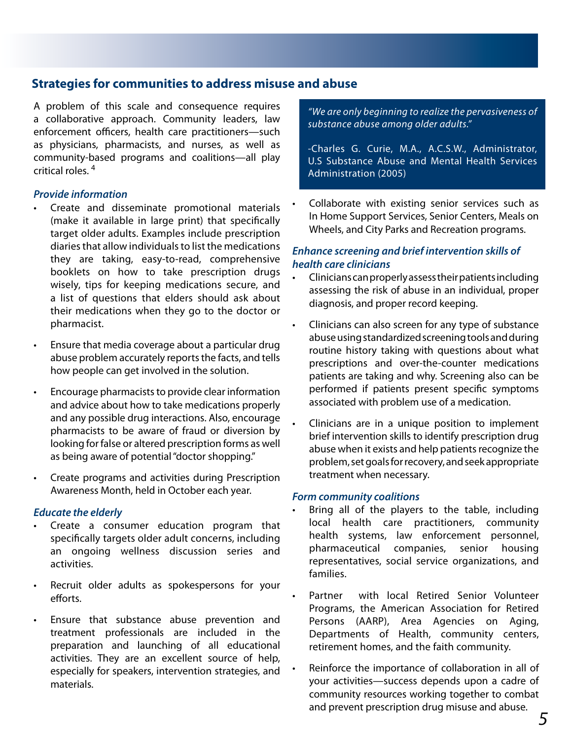# **Strategies for communities to address misuse and abuse**

A problem of this scale and consequence requires a collaborative approach. Community leaders, law enforcement officers, health care practitioners—such as physicians, pharmacists, and nurses, as well as community-based programs and coalitions—all play critical roles. 4

# *Provide information*

- Create and disseminate promotional materials (make it available in large print) that specifically target older adults. Examples include prescription diaries that allow individuals to list the medications they are taking, easy-to-read, comprehensive booklets on how to take prescription drugs wisely, tips for keeping medications secure, and a list of questions that elders should ask about their medications when they go to the doctor or pharmacist.
- Ensure that media coverage about a particular drug abuse problem accurately reports the facts, and tells how people can get involved in the solution.
- Encourage pharmacists to provide clear information and advice about how to take medications properly and any possible drug interactions. Also, encourage pharmacists to be aware of fraud or diversion by looking for false or altered prescription forms as well as being aware of potential "doctor shopping."
- Create programs and activities during Prescription Awareness Month, held in October each year.

# *Educate the elderly*

- Create a consumer education program that specifically targets older adult concerns, including an ongoing wellness discussion series and activities.
- Recruit older adults as spokespersons for your efforts.
- Ensure that substance abuse prevention and treatment professionals are included in the preparation and launching of all educational activities. They are an excellent source of help, especially for speakers, intervention strategies, and materials.

*"We are only beginning to realize the pervasiveness of substance abuse among older adults."*

-Charles G. Curie, M.A., A.C.S.W., Administrator, U.S Substance Abuse and Mental Health Services Administration (2005)

Collaborate with existing senior services such as In Home Support Services, Senior Centers, Meals on Wheels, and City Parks and Recreation programs.

# *Enhance screening and brief intervention skills of health care clinicians*

- Clinicians can properly assess their patients including assessing the risk of abuse in an individual, proper diagnosis, and proper record keeping.
- Clinicians can also screen for any type of substance abuse using standardized screening tools and during routine history taking with questions about what prescriptions and over-the-counter medications patients are taking and why. Screening also can be performed if patients present specific symptoms associated with problem use of a medication.
- Clinicians are in a unique position to implement brief intervention skills to identify prescription drug abuse when it exists and help patients recognize the problem, set goals for recovery, and seek appropriate treatment when necessary.

#### *Form community coalitions*

- Bring all of the players to the table, including local health care practitioners, community health systems, law enforcement personnel, pharmaceutical companies, senior housing representatives, social service organizations, and families.
- Partner vith local Retired Senior Volunteer Programs, the American Association for Retired Persons (AARP), Area Agencies on Aging, Departments of Health, community centers, retirement homes, and the faith community.
- Reinforce the importance of collaboration in all of your activities—success depends upon a cadre of community resources working together to combat and prevent prescription drug misuse and abuse.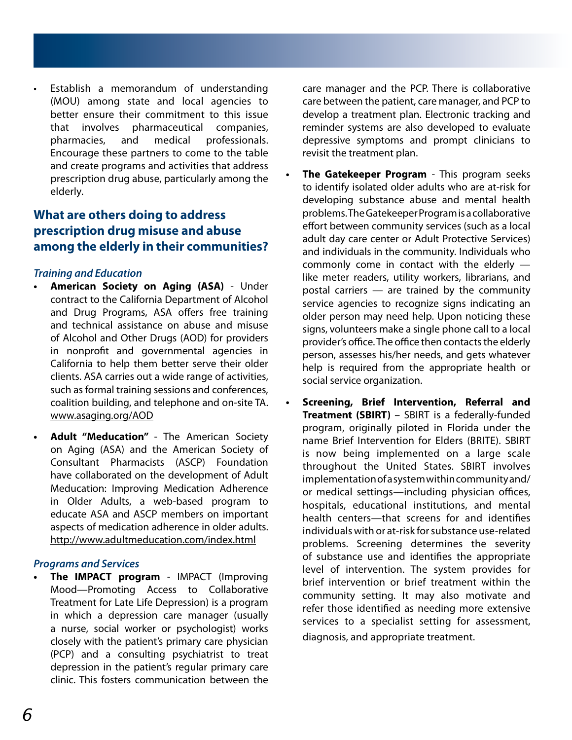Establish a memorandum of understanding (MOU) among state and local agencies to better ensure their commitment to this issue that involves pharmaceutical companies, pharmacies, and medical professionals. Encourage these partners to come to the table and create programs and activities that address prescription drug abuse, particularly among the elderly.

# **What are others doing to address prescription drug misuse and abuse among the elderly in their communities?**

# *Training and Education*

- **• American Society on Aging (ASA)** Under contract to the California Department of Alcohol and Drug Programs, ASA offers free training and technical assistance on abuse and misuse of Alcohol and Other Drugs (AOD) for providers in nonprofit and governmental agencies in California to help them better serve their older clients. ASA carries out a wide range of activities, such as formal training sessions and conferences, coalition building, and telephone and on-site TA. www.asaging.org/AOD
- **• Adult "Meducation"**  The American Society on Aging (ASA) and the American Society of Consultant Pharmacists (ASCP) Foundation have collaborated on the development of Adult Meducation: Improving Medication Adherence in Older Adults, a web-based program to educate ASA and ASCP members on important aspects of medication adherence in older adults. http://www.adultmeducation.com/index.html

# *Programs and Services*

**The IMPACT program** - IMPACT (Improving Mood—Promoting Access to Collaborative Treatment for Late Life Depression) is a program in which a depression care manager (usually a nurse, social worker or psychologist) works closely with the patient's primary care physician (PCP) and a consulting psychiatrist to treat depression in the patient's regular primary care clinic. This fosters communication between the

care manager and the PCP. There is collaborative care between the patient, care manager, and PCP to develop a treatment plan. Electronic tracking and reminder systems are also developed to evaluate depressive symptoms and prompt clinicians to revisit the treatment plan.

- **The Gatekeeper Program** This program seeks to identify isolated older adults who are at-risk for developing substance abuse and mental health problems. The Gatekeeper Program is a collaborative effort between community services (such as a local adult day care center or Adult Protective Services) and individuals in the community. Individuals who commonly come in contact with the elderly like meter readers, utility workers, librarians, and postal carriers — are trained by the community service agencies to recognize signs indicating an older person may need help. Upon noticing these signs, volunteers make a single phone call to a local provider's office. The office then contacts the elderly person, assesses his/her needs, and gets whatever help is required from the appropriate health or social service organization.
- **• Screening, Brief Intervention, Referral and Treatment (SBIRT)** – SBIRT is a federally-funded program, originally piloted in Florida under the name Brief Intervention for Elders (BRITE). SBIRT is now being implemented on a large scale throughout the United States. SBIRT involves implementation of a system within community and/ or medical settings—including physician offices, hospitals, educational institutions, and mental health centers—that screens for and identifies individuals with or at-risk for substance use-related problems. Screening determines the severity of substance use and identifies the appropriate level of intervention. The system provides for brief intervention or brief treatment within the community setting. It may also motivate and refer those identified as needing more extensive services to a specialist setting for assessment, diagnosis, and appropriate treatment.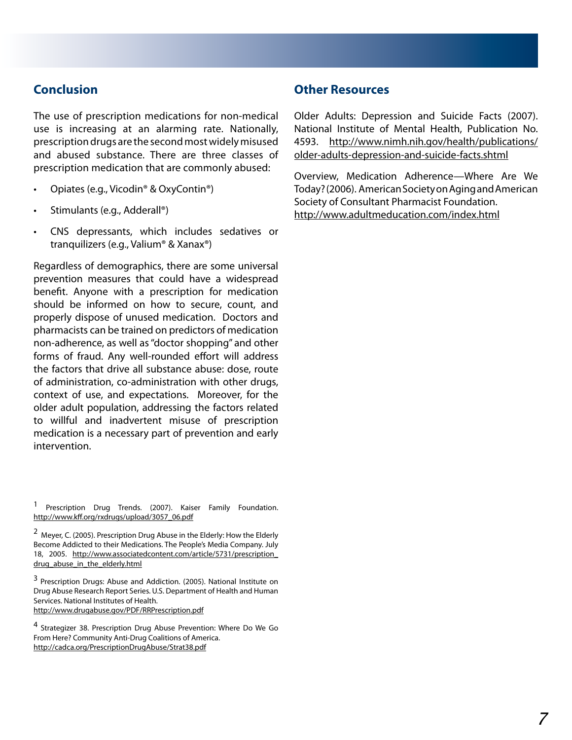# **Conclusion**

The use of prescription medications for non-medical use is increasing at an alarming rate. Nationally, prescription drugs are the second most widely misused and abused substance. There are three classes of prescription medication that are commonly abused:

- Opiates (e.g., Vicodin® & OxyContin®)
- Stimulants (e.g., Adderall®)
- • CNS depressants, which includes sedatives or tranquilizers (e.g., Valium® & Xanax®)

Regardless of demographics, there are some universal prevention measures that could have a widespread benefit. Anyone with a prescription for medication should be informed on how to secure, count, and properly dispose of unused medication. Doctors and pharmacists can be trained on predictors of medication non-adherence, as well as "doctor shopping" and other forms of fraud. Any well-rounded effort will address the factors that drive all substance abuse: dose, route of administration, co-administration with other drugs, context of use, and expectations. Moreover, for the older adult population, addressing the factors related to willful and inadvertent misuse of prescription medication is a necessary part of prevention and early intervention.

3 Prescription Drugs: Abuse and Addiction. (2005). National Institute on Drug Abuse Research Report Series. U.S. Department of Health and Human Services. National Institutes of Health.

http://www.drugabuse.gov/PDF/RRPrescription.pdf

4 Strategizer 38. Prescription Drug Abuse Prevention: Where Do We Go From Here? Community Anti-Drug Coalitions of America. http://cadca.org/PrescriptionDrugAbuse/Strat38.pdf

# **Other Resources**

Older Adults: Depression and Suicide Facts (2007). National Institute of Mental Health, Publication No. 4593. http://www.nimh.nih.gov/health/publications/ older-adults-depression-and-suicide-facts.shtml

Overview, Medication Adherence—Where Are We Today? (2006). American Society on Aging and American Society of Consultant Pharmacist Foundation. http://www.adultmeducation.com/index.html

<sup>1</sup> Prescription Drug Trends. (2007). Kaiser Family Foundation. http://www.kff.org/rxdrugs/upload/3057\_06.pdf

<sup>2</sup> Meyer, C. (2005). Prescription Drug Abuse in the Elderly: How the Elderly Become Addicted to their Medications. The People's Media Company. July 18, 2005. http://www.associatedcontent.com/article/5731/prescription\_ drug abuse in the elderly.html